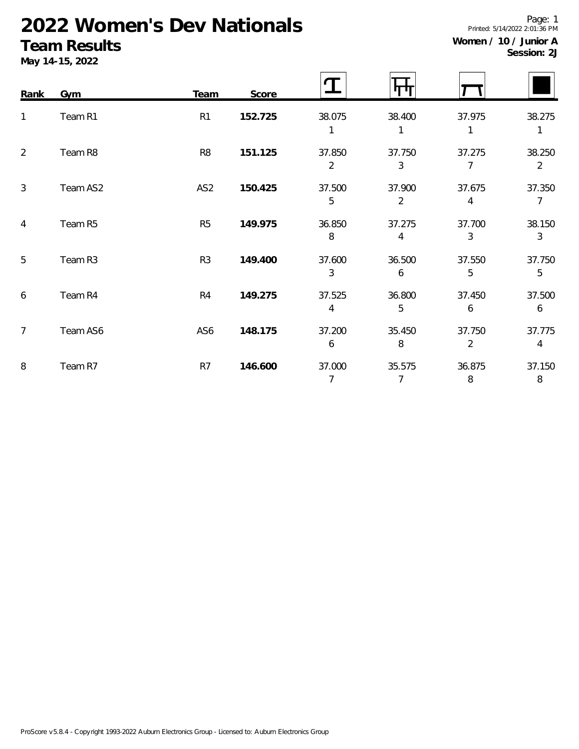# **2022 Women's Dev Nationals**

### **Team Results**

**May 14-15, 2022**

| Women / 10 / Junior A |             |
|-----------------------|-------------|
|                       | Session: 2J |

Printed: 5/14/2022 2:01:36 PM

Page: 1

| Rank           | Gym      | Team            | Score   |                            |                          |                          |                          |
|----------------|----------|-----------------|---------|----------------------------|--------------------------|--------------------------|--------------------------|
| 1              | Team R1  | R <sub>1</sub>  | 152.725 | 38.075                     | 38.400                   | 37.975<br>1              | 38.275<br>1              |
| $\overline{2}$ | Team R8  | R <sub>8</sub>  | 151.125 | 37.850<br>$\overline{2}$   | 37.750<br>3              | 37.275<br>7              | 38.250<br>$\overline{2}$ |
| $\mathfrak{Z}$ | Team AS2 | AS <sub>2</sub> | 150.425 | 37.500<br>5                | 37.900<br>$\overline{2}$ | 37.675<br>4              | 37.350<br>$\overline{7}$ |
| $\overline{4}$ | Team R5  | R <sub>5</sub>  | 149.975 | 36.850<br>8                | 37.275<br>4              | 37.700<br>3              | 38.150<br>$\mathfrak{Z}$ |
| 5              | Team R3  | R <sub>3</sub>  | 149.400 | 37.600<br>3                | 36.500<br>6              | 37.550<br>5              | 37.750<br>5              |
| 6              | Team R4  | R <sub>4</sub>  | 149.275 | 37.525<br>4                | 36.800<br>5              | 37.450<br>6              | 37.500<br>6              |
| $\overline{7}$ | Team AS6 | AS6             | 148.175 | 37.200<br>$\boldsymbol{6}$ | 35.450<br>8              | 37.750<br>$\overline{2}$ | 37.775<br>4              |
| 8              | Team R7  | R7              | 146.600 | 37.000<br>7                | 35.575<br>$\overline{7}$ | 36.875<br>8              | 37.150<br>8              |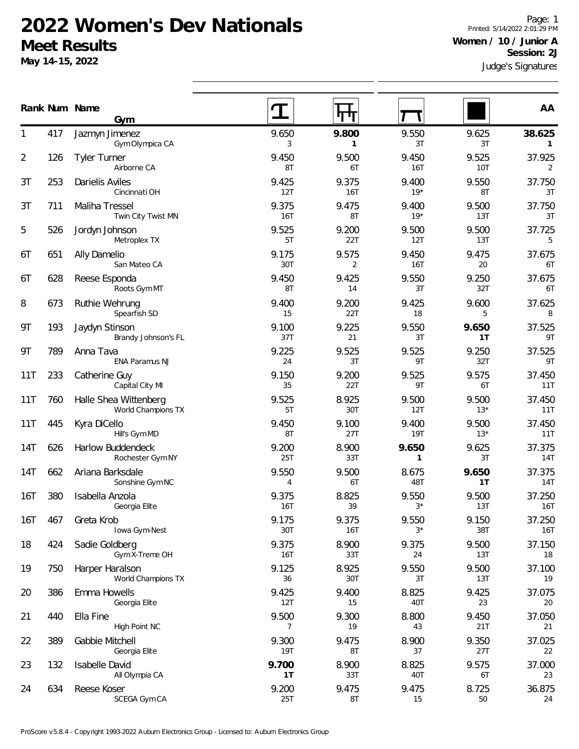### **2022 Women's Dev Nationals Meet Results**

**May 14-15, 2022**

Page: 1 Printed: 5/14/2022 2:01:29 PM **Women / 10 / Junior A Session: 2J**

Judge's Signatures **Num Name Rank AA**

|            |     | Gym                                         |                         | 44 H                |                       |                |               |
|------------|-----|---------------------------------------------|-------------------------|---------------------|-----------------------|----------------|---------------|
|            | 417 | Jazmyn Jimenez<br>Gym Olympica CA           | 9.650<br>3              | 9.800<br>1          | 9.550<br>3T           | 9.625<br>3T    | 38.625<br>1   |
| 2          | 126 | <b>Tyler Turner</b><br>Airborne CA          | 9.450<br>8T             | 9.500<br>6T         | 9.450<br>16T          | 9.525<br>10T   | 37.925<br>2   |
| 3T         | 253 | Darielis Aviles<br>Cincinnati OH            | 9.425<br>12T            | 9.375<br><b>16T</b> | 9.400<br>$19*$        | 9.550<br>8T    | 37.750<br>3T  |
| 3T         | 711 | Maliha Tressel<br>Twin City Twist MN        | 9.375<br>16T            | 9.475<br>8T         | 9.400<br>$19*$        | 9.500<br>13T   | 37.750<br>3T  |
| 5          | 526 | Jordyn Johnson<br>Metroplex TX              | 9.525<br>5T             | 9.200<br>22T        | 9.500<br>12T          | 9.500<br>13T   | 37.725<br>5   |
| 6T         | 651 | Ally Damelio<br>San Mateo CA                | 9.175<br>30T            | 9.575<br>2          | 9.450<br>16T          | 9.475<br>20    | 37.675<br>6T  |
| 6T         | 628 | Reese Esponda<br>Roots Gym MT               | 9.450<br>8T             | 9.425<br>14         | 9.550<br>3T           | 9.250<br>32T   | 37.675<br>6T  |
| 8          | 673 | Ruthie Wehrung<br>Spearfish SD              | 9.400<br>15             | 9.200<br>22T        | 9.425<br>18           | 9.600<br>5     | 37.625<br>8   |
| 9Τ         | 193 | Jaydyn Stinson<br>Brandy Johnson's FL       | 9.100<br>37T            | 9.225<br>21         | 9.550<br>3T           | 9.650<br>1T    | 37.525<br>9T  |
| 9T         | 789 | Anna Tava<br>ENA Paramus NJ                 | 9.225<br>24             | 9.525<br>3T         | 9.525<br>9T           | 9.250<br>32T   | 37.525<br>9T  |
| 11T        | 233 | Catherine Guy<br>Capital City MI            | 9.150<br>35             | 9.200<br>22T        | 9.525<br>9T           | 9.575<br>6T    | 37.450<br>11T |
| 11T        | 760 | Halle Shea Wittenberg<br>World Champions TX | 9.525<br>5T             | 8.925<br>30T        | 9.500<br>12T          | 9.500<br>$13*$ | 37.450<br>11T |
| 11T        | 445 | Kyra DiCello<br>Hill's Gym MD               | 9.450<br>8T             | 9.100<br>27T        | 9.400<br><b>19T</b>   | 9.500<br>$13*$ | 37.450<br>11T |
| 14T        | 626 | Harlow Buddendeck<br>Rochester Gym NY       | 9.200<br>25T            | 8.900<br>33T        | 9.650<br>$\mathbf{1}$ | 9.625<br>3T    | 37.375<br>14T |
| <b>14T</b> | 662 | Ariana Barksdale<br>Sonshine Gym NC         | 9.550<br>4              | 9.500<br>6T         | 8.675<br>48T          | 9.650<br>1T    | 37.375<br>14T |
| 16T        | 380 | Isabella Anzola<br>Georgia Elite            | 9.375<br>16T            | 8.825<br>39         | 9.550<br>$3^{\star}$  | 9.500<br>13T   | 37.250<br>16T |
| 16T        | 467 | Greta Krob<br>Iowa Gym-Nest                 | 9.175<br>30T            | 9.375<br>16T        | 9.550<br>$3*$         | 9.150<br>38T   | 37.250<br>16T |
| 18         | 424 | Sadie Goldberg<br>Gym X-Treme OH            | 9.375<br>16T            | 8.900<br>33T        | 9.375<br>24           | 9.500<br>13T   | 37.150<br>18  |
| 19         | 750 | Harper Haralson<br>World Champions TX       | 9.125<br>36             | 8.925<br>30T        | 9.550<br>3T           | 9.500<br>13T   | 37.100<br>19  |
| 20         | 386 | Emma Howells<br>Georgia Elite               | 9.425<br>12T            | 9.400<br>15         | 8.825<br>40T          | 9.425<br>23    | 37.075<br>20  |
| 21         | 440 | Ella Fine<br>High Point NC                  | 9.500<br>$\overline{7}$ | 9.300<br>19         | 8.800<br>43           | 9.450<br>21T   | 37.050<br>21  |
| 22         | 389 | Gabbie Mitchell<br>Georgia Elite            | 9.300<br><b>19T</b>     | 9.475<br>8T         | 8.900<br>37           | 9.350<br>27T   | 37.025<br>22  |
| 23         | 132 | Isabelle David<br>All Olympia CA            | 9.700<br>1T             | 8.900<br>33T        | 8.825<br>40T          | 9.575<br>6T    | 37.000<br>23  |
| 24         | 634 | Reese Koser<br>SCEGA Gym CA                 | 9.200<br>25T            | 9.475<br>8T         | 9.475<br>15           | 8.725<br>50    | 36.875<br>24  |
|            |     |                                             |                         |                     |                       |                |               |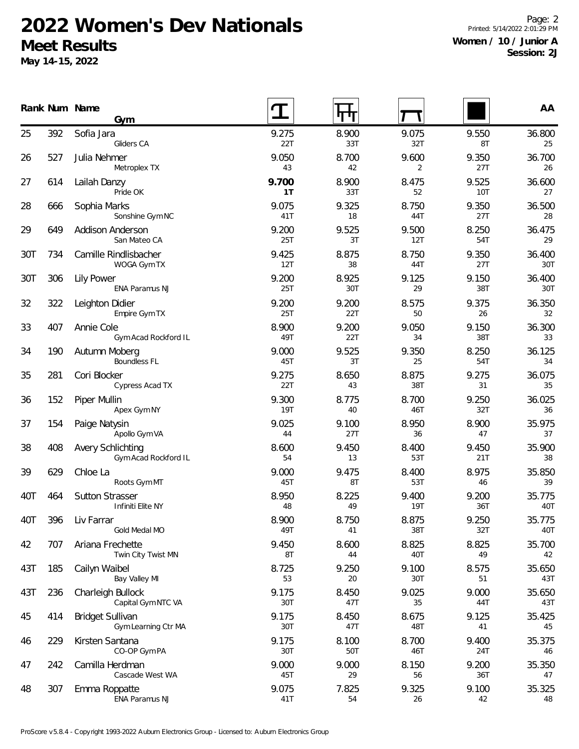## **2022 Women's Dev Nationals Meet Results**

**May 14-15, 2022**

Page: 2 Printed: 5/14/2022 2:01:29 PM **Women / 10 / Junior A Session: 2J**

|     |     | Rank Num Name<br>Gym                             |                     | पाग          |                     |              | AA            |
|-----|-----|--------------------------------------------------|---------------------|--------------|---------------------|--------------|---------------|
| 25  | 392 | Sofia Jara<br>Gliders CA                         | 9.275<br>22T        | 8.900<br>33T | 9.075<br>32T        | 9.550<br>8T  | 36.800<br>25  |
| 26  | 527 | Julia Nehmer<br>Metroplex TX                     | 9.050<br>43         | 8.700<br>42  | 9.600<br>2          | 9.350<br>27T | 36.700<br>26  |
| 27  | 614 | Lailah Danzy<br>Pride OK                         | 9.700<br>1T         | 8.900<br>33T | 8.475<br>52         | 9.525<br>10T | 36.600<br>27  |
| 28  | 666 | Sophia Marks<br>Sonshine Gym NC                  | 9.075<br>41T        | 9.325<br>18  | 8.750<br>44T        | 9.350<br>27T | 36.500<br>28  |
| 29  | 649 | Addison Anderson<br>San Mateo CA                 | 9.200<br>25T        | 9.525<br>3T  | 9.500<br>12T        | 8.250<br>54T | 36.475<br>29  |
| 30T | 734 | Camille Rindlisbacher<br>WOGA Gym TX             | 9.425<br>12T        | 8.875<br>38  | 8.750<br>44T        | 9.350<br>27T | 36.400<br>30T |
| 30T | 306 | <b>Lily Power</b><br>ENA Paramus NJ              | 9.200<br>25T        | 8.925<br>30T | 9.125<br>29         | 9.150<br>38T | 36.400<br>30T |
| 32  | 322 | Leighton Didier<br>Empire Gym TX                 | 9.200<br>25T        | 9.200<br>22T | 8.575<br>50         | 9.375<br>26  | 36.350<br>32  |
| 33  | 407 | Annie Cole<br>Gym Acad Rockford IL               | 8.900<br>49T        | 9.200<br>22T | 9.050<br>34         | 9.150<br>38T | 36.300<br>33  |
| 34  | 190 | Autumn Moberg<br><b>Boundless FL</b>             | 9.000<br>45T        | 9.525<br>3T  | 9.350<br>25         | 8.250<br>54T | 36.125<br>34  |
| 35  | 281 | Cori Blocker<br>Cypress Acad TX                  | 9.275<br>22T        | 8.650<br>43  | 8.875<br>38T        | 9.275<br>31  | 36.075<br>35  |
| 36  | 152 | Piper Mullin<br>Apex Gym NY                      | 9.300<br><b>19T</b> | 8.775<br>40  | 8.700<br>46T        | 9.250<br>32T | 36.025<br>36  |
| 37  | 154 | Paige Natysin<br>Apollo Gym VA                   | 9.025<br>44         | 9.100<br>27T | 8.950<br>36         | 8.900<br>47  | 35.975<br>37  |
| 38  | 408 | <b>Avery Schlichting</b><br>Gym Acad Rockford IL | 8.600<br>54         | 9.450<br>13  | 8.400<br>53T        | 9.450<br>21T | 35.900<br>38  |
| 39  | 629 | Chloe La<br>Roots Gym MT                         | 9.000<br>45T        | 9.475<br>8T  | 8.400<br>53T        | 8.975<br>46  | 35.850<br>39  |
| 40T | 464 | <b>Sutton Strasser</b><br>Infiniti Elite NY      | 8.950<br>48         | 8.225<br>49  | 9.400<br><b>19T</b> | 9.200<br>36T | 35.775<br>40T |
| 40T | 396 | Liv Farrar<br>Gold Medal MO                      | 8.900<br>49T        | 8.750<br>41  | 8.875<br>38T        | 9.250<br>32T | 35.775<br>40T |
| 42  | 707 | Ariana Frechette<br>Twin City Twist MN           | 9.450<br>8T         | 8.600<br>44  | 8.825<br>40T        | 8.825<br>49  | 35.700<br>42  |
| 43T | 185 | Cailyn Waibel<br>Bay Valley MI                   | 8.725<br>53         | 9.250<br>20  | 9.100<br>30T        | 8.575<br>51  | 35.650<br>43T |
| 43T | 236 | Charleigh Bullock<br>Capital Gym NTC VA          | 9.175<br>30T        | 8.450<br>47T | 9.025<br>35         | 9.000<br>44T | 35.650<br>43T |
| 45  | 414 | <b>Bridget Sullivan</b><br>Gym Learning Ctr MA   | 9.175<br>30T        | 8.450<br>47T | 8.675<br>48T        | 9.125<br>41  | 35.425<br>45  |
| 46  | 229 | Kirsten Santana<br>CO-OP Gym PA                  | 9.175<br>30T        | 8.100<br>50T | 8.700<br>46T        | 9.400<br>24T | 35.375<br>46  |
| 47  | 242 | Camilla Herdman<br>Cascade West WA               | 9.000<br>45T        | 9.000<br>29  | 8.150<br>56         | 9.200<br>36T | 35.350<br>47  |
| 48  | 307 | Emma Roppatte<br>ENA Paramus NJ                  | 9.075<br>41T        | 7.825<br>54  | 9.325<br>26         | 9.100<br>42  | 35.325<br>48  |